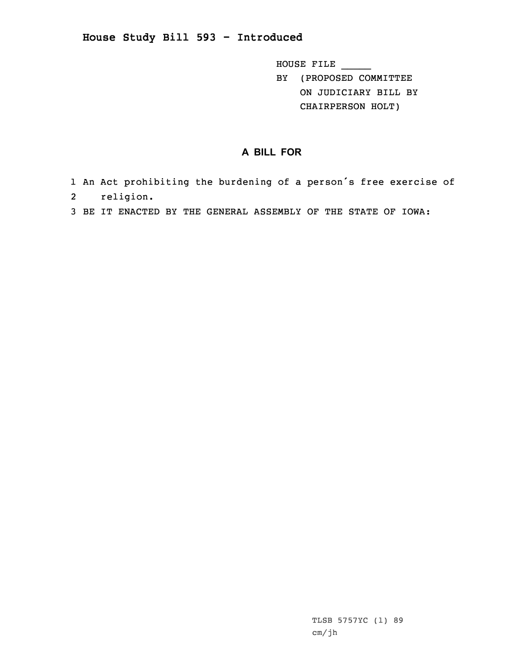**House Study Bill 593 - Introduced**

HOUSE FILE \_\_\_\_\_ BY (PROPOSED COMMITTEE

ON JUDICIARY BILL BY CHAIRPERSON HOLT)

## **A BILL FOR**

- 1 An Act prohibiting the burdening of <sup>a</sup> person's free exercise of 2 religion.
- 3 BE IT ENACTED BY THE GENERAL ASSEMBLY OF THE STATE OF IOWA: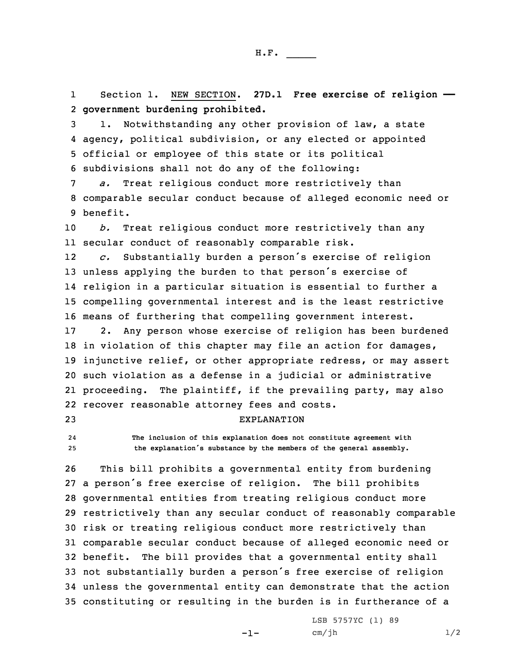1 Section 1. NEW SECTION. **27D.1 Free exercise of religion ——** 2 **government burdening prohibited.**

 1. Notwithstanding any other provision of law, <sup>a</sup> state agency, political subdivision, or any elected or appointed official or employee of this state or its political subdivisions shall not do any of the following:

7 *a.* Treat religious conduct more restrictively than 8 comparable secular conduct because of alleged economic need or 9 benefit.

10 *b.* Treat religious conduct more restrictively than any 11 secular conduct of reasonably comparable risk.

12 *c.* Substantially burden <sup>a</sup> person's exercise of religion unless applying the burden to that person's exercise of religion in <sup>a</sup> particular situation is essential to further <sup>a</sup> compelling governmental interest and is the least restrictive means of furthering that compelling government interest.

 2. Any person whose exercise of religion has been burdened in violation of this chapter may file an action for damages, injunctive relief, or other appropriate redress, or may assert such violation as <sup>a</sup> defense in <sup>a</sup> judicial or administrative proceeding. The plaintiff, if the prevailing party, may also recover reasonable attorney fees and costs.

## 23 EXPLANATION

24 **The inclusion of this explanation does not constitute agreement with** <sup>25</sup> **the explanation's substance by the members of the general assembly.**

 This bill prohibits <sup>a</sup> governmental entity from burdening <sup>a</sup> person's free exercise of religion. The bill prohibits governmental entities from treating religious conduct more restrictively than any secular conduct of reasonably comparable risk or treating religious conduct more restrictively than comparable secular conduct because of alleged economic need or benefit. The bill provides that <sup>a</sup> governmental entity shall not substantially burden <sup>a</sup> person's free exercise of religion unless the governmental entity can demonstrate that the action constituting or resulting in the burden is in furtherance of <sup>a</sup>

-1-

LSB 5757YC (1) 89  $cm/jh$   $1/2$